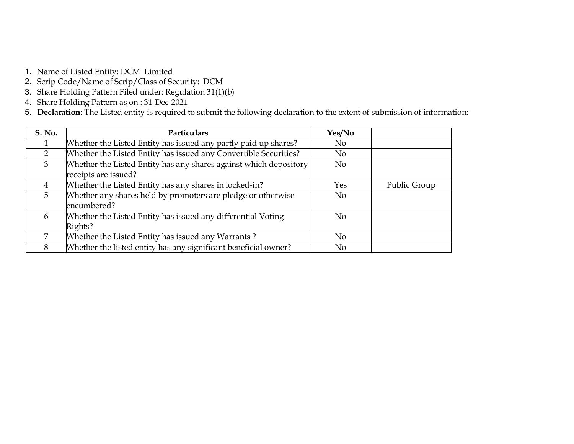- 1. Name of Listed Entity: DCM Limited
- 2. Scrip Code/Name of Scrip/Class of Security: DCM
- 3. Share Holding Pattern Filed under: Regulation 31(1)(b)
- 4. Share Holding Pattern as on : 31-Dec-2021
- 5. Declaration: The Listed entity is required to submit the following declaration to the extent of submission of information:-

| S. No. | <b>Particulars</b>                                                | Yes/No     |              |
|--------|-------------------------------------------------------------------|------------|--------------|
|        | Whether the Listed Entity has issued any partly paid up shares?   | No         |              |
|        | Whether the Listed Entity has issued any Convertible Securities?  | No         |              |
| 3      | Whether the Listed Entity has any shares against which depository | No         |              |
|        | receipts are issued?                                              |            |              |
| 4      | Whether the Listed Entity has any shares in locked-in?            | <b>Yes</b> | Public Group |
| 5      | Whether any shares held by promoters are pledge or otherwise      | No         |              |
|        | encumbered?                                                       |            |              |
| 6      | Whether the Listed Entity has issued any differential Voting      | No         |              |
|        | Rights?                                                           |            |              |
|        | Whether the Listed Entity has issued any Warrants?                | No         |              |
| 8      | Whether the listed entity has any significant beneficial owner?   | No         |              |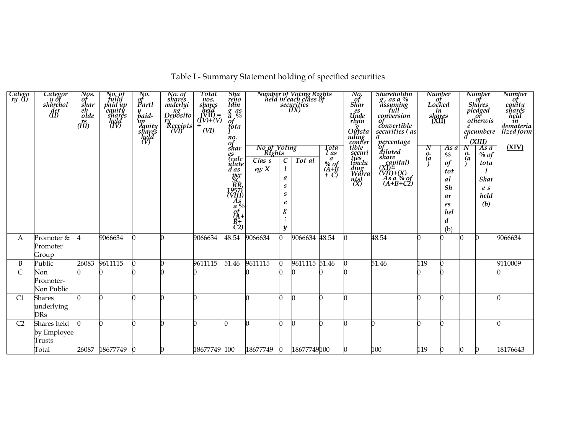| Catego<br>ry (I) | Categor<br>y of<br>sharehol<br>$\frac{der}{dD}$ | Nos.<br>of<br>shar<br>$\frac{eh}{olde}$<br>$\lim_{t\to 0}$ | No. of<br>fully<br>paid up<br>requity<br>shares<br>held<br>(IV) | No.<br>of<br>Partl<br>$y$ <sub>paid</sub><br><i>up<br/>equity<br/>shares<br/>held</i><br><i>(V)</i> | No. of<br>shares<br>underlyi<br>Deposito<br>$r_y$<br>Receipts<br>(VI) | Total<br>$\begin{array}{c}\n\text{nos.} \\ \text{shares} \\ \text{held} \\ (\text{VII}) = \\ (\text{IV}) + (\text{V})\n\end{array}$<br>(VI) | Sha<br>reho<br>ldin<br>$\begin{array}{cc} g & as \\ a & \sqrt[0]{2} \\ g & \sqrt[0]{2} \\ g & \sqrt[0]{2} \\ g & \sqrt[0]{2} \\ g & \sqrt[0]{2} \\ g & \sqrt[0]{2} \\ g & \sqrt[0]{2} \\ g & \sqrt[0]{2} \\ g & \sqrt[0]{2} \\ g & \sqrt[0]{2} \\ g & \sqrt[0]{2} \\ g & \sqrt[0]{2} \\ g & \sqrt[0]{2} \\ g & \sqrt[0]{2} \\ g & \sqrt[0]{2} \\ g & \sqrt[0]{2} \\ g & \sqrt[0]{2} \\ g & \sqrt[0]{2} \\ g & \sqrt[0]{2} \\ g & \sqrt[0]{2} \\ g & \sqrt[0]{2}$<br>of<br>tota<br>$n\rho f$<br>shar<br>es<br>(calc<br>ulate<br>d as<br>$\begin{array}{c}\n \text{user} \\  \text{SC} \\  \text{GR} \\  \text{1957} \\  (\text{VIII}) \\  \text{As} \\  \text{a} \\  \text{f}\n \end{array}$ | No of Voting<br>Rights<br>Clas s<br>eg: X | $\mathcal{C}$<br>a<br>$\boldsymbol{s}$<br>$\pmb{S}$  | <b>Number of Voting Rights<br/>held in each class of<br/>securities<br/>(IX)</b><br>Tot al | Tota<br>I as<br>$a$<br>$(A+B$<br>$+ C)$ | No.<br>Shar<br>es<br>Unde<br>rlyin<br>Outsta<br>nding<br>conver<br>tible<br>securi<br>ties<br>(inclu<br>ding<br>Warra<br>$n(S)$<br>$(X)$ | <b>Shareholdin</b><br>g, as a %<br>assuming<br>full<br>conversion<br>of<br>convertible<br>securities (as<br>$\boldsymbol{a}$<br>"percentage<br>of<br>diluted<br>share<br>$(XI)$ =<br>$(VIII)+(X)$<br>As a % of<br>(A+B+C2) | shares<br>(XII)<br>N<br>$\frac{\rho}{a}$ | <b>Number</b><br>of<br>Loçked<br>in<br>As a<br>$\mathcal{O}_{\!\! / \mathbf{0}}$<br>of<br>tot<br>al<br>Sh | N<br>$\iint_a$ | <b>Number</b><br>of<br>Shares<br>pledged<br>or<br>otherwis<br>encumbere<br>(XIII)<br>As a<br>$%$ of<br>tota<br><b>Shar</b><br>e <sub>s</sub> | Number<br>of<br>equity<br>shares<br>held<br>in<br>demateria<br>lized form<br>(XIV) |
|------------------|-------------------------------------------------|------------------------------------------------------------|-----------------------------------------------------------------|-----------------------------------------------------------------------------------------------------|-----------------------------------------------------------------------|---------------------------------------------------------------------------------------------------------------------------------------------|---------------------------------------------------------------------------------------------------------------------------------------------------------------------------------------------------------------------------------------------------------------------------------------------------------------------------------------------------------------------------------------------------------------------------------------------------------------------------------------------------------------------------------------------------------------------------------------------------------------------------------------------------------------------------------------------|-------------------------------------------|------------------------------------------------------|--------------------------------------------------------------------------------------------|-----------------------------------------|------------------------------------------------------------------------------------------------------------------------------------------|----------------------------------------------------------------------------------------------------------------------------------------------------------------------------------------------------------------------------|------------------------------------------|-----------------------------------------------------------------------------------------------------------|----------------|----------------------------------------------------------------------------------------------------------------------------------------------|------------------------------------------------------------------------------------|
|                  |                                                 |                                                            |                                                                 |                                                                                                     |                                                                       |                                                                                                                                             | $\overline{0}$<br>$\overline{B}$ +<br>$\overline{C}$ 2)                                                                                                                                                                                                                                                                                                                                                                                                                                                                                                                                                                                                                                     |                                           | e<br>$\boldsymbol{g}$<br>$\cdot$<br>$\boldsymbol{y}$ |                                                                                            |                                         |                                                                                                                                          |                                                                                                                                                                                                                            |                                          | ar<br>es<br>hel<br>d<br>(b)                                                                               |                | held<br>(b)                                                                                                                                  |                                                                                    |
| A                | Promoter &<br>Promoter<br>Group                 |                                                            | 9066634                                                         |                                                                                                     |                                                                       | 9066634                                                                                                                                     | 48.54                                                                                                                                                                                                                                                                                                                                                                                                                                                                                                                                                                                                                                                                                       | 9066634                                   |                                                      | 9066634 48.54                                                                              |                                         |                                                                                                                                          | 48.54                                                                                                                                                                                                                      |                                          | In                                                                                                        |                |                                                                                                                                              | 9066634                                                                            |
| B                | Public                                          | 26083                                                      | 9611115                                                         |                                                                                                     |                                                                       | 9611115                                                                                                                                     | 51.46                                                                                                                                                                                                                                                                                                                                                                                                                                                                                                                                                                                                                                                                                       | 9611115                                   |                                                      | 9611115 51.46                                                                              |                                         |                                                                                                                                          | 51.46                                                                                                                                                                                                                      | 119                                      | IO                                                                                                        |                |                                                                                                                                              | 9110009                                                                            |
| $\mathsf{C}$     | Non<br>Promoter-<br>Non Public                  |                                                            |                                                                 |                                                                                                     |                                                                       |                                                                                                                                             |                                                                                                                                                                                                                                                                                                                                                                                                                                                                                                                                                                                                                                                                                             |                                           |                                                      |                                                                                            |                                         |                                                                                                                                          |                                                                                                                                                                                                                            |                                          | n                                                                                                         |                |                                                                                                                                              |                                                                                    |
| C1               | <b>Shares</b><br>underlying<br>DRs              |                                                            |                                                                 |                                                                                                     |                                                                       |                                                                                                                                             |                                                                                                                                                                                                                                                                                                                                                                                                                                                                                                                                                                                                                                                                                             |                                           |                                                      |                                                                                            | ∩                                       |                                                                                                                                          |                                                                                                                                                                                                                            |                                          | In                                                                                                        |                |                                                                                                                                              |                                                                                    |
| C <sub>2</sub>   | Shares held<br>by Employee<br>Trusts            |                                                            |                                                                 |                                                                                                     |                                                                       |                                                                                                                                             |                                                                                                                                                                                                                                                                                                                                                                                                                                                                                                                                                                                                                                                                                             |                                           |                                                      |                                                                                            |                                         |                                                                                                                                          |                                                                                                                                                                                                                            |                                          | In                                                                                                        |                |                                                                                                                                              |                                                                                    |
|                  | Total                                           | 26087                                                      | 18677749                                                        |                                                                                                     |                                                                       | 18677749 100                                                                                                                                |                                                                                                                                                                                                                                                                                                                                                                                                                                                                                                                                                                                                                                                                                             | 18677749                                  |                                                      | 18677749100                                                                                |                                         |                                                                                                                                          | 100                                                                                                                                                                                                                        | 119                                      | IO                                                                                                        |                |                                                                                                                                              | 18176643                                                                           |

Table I - Summary Statement holding of specified securities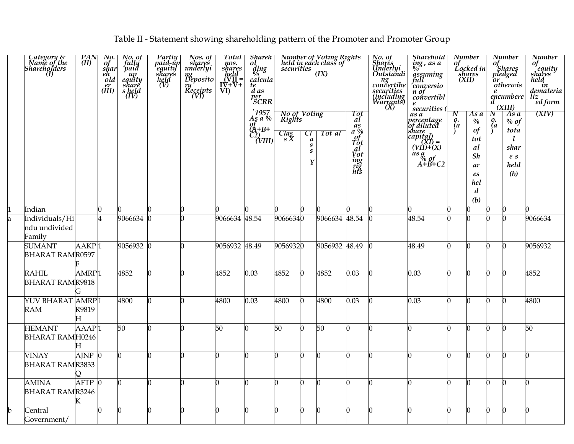Table II - Statement showing shareholding pattern of the Promoter and Promoter Group

| Category &<br>Name of the<br>Shareholders<br>(I) | PAN<br>(II)                | No.<br>of<br>shar<br>eh<br>old<br>$\int_{I}^{er}$ | No. of<br>fully<br>paid<br>up<br>equity<br>$\frac{\text{share}}{\text{s held}}$<br>share | Partly<br>paid-up<br>equity<br>shares<br>held<br>(V) | Nos. of<br>shares<br>underlyi<br>ng<br>Deposito<br>$\begin{bmatrix} ry' \\ Regipts \\ (VI) \end{bmatrix}$ | <b>Total</b><br><i>nom</i><br><i>nos.</i><br><i>shares</i><br><i>held</i><br><i>IV</i> +V+<br>VI) | Shareh<br>ol<br>ding<br>calcula<br>te<br>d as<br>per<br>SCRR                                                      |                                              |                                                      | Number of Voting Rights<br>held in each class of<br>securities<br>(IX) |                                                                                                                                      | No. of<br>Shares<br>Underlyi<br>Outstandi<br>ng<br>convertibe<br>securities<br>securities<br>(including<br>Warrants)<br>(X) | Sharehold<br>$\mathop{ing}\limits_{0/0},\mathop{as}\limits_{.} a$<br>assuming<br>full<br>conversio<br>n of<br>convertibl<br>$\boldsymbol{e}$ |               | Number<br>of<br>Locked in<br>shares<br>(XII)                                                 | 'or<br>$\boldsymbol{\rho}$<br>d | Number<br>of<br>Shares<br>pledged<br>otherwis<br>encumbere                | Number<br>of<br>equity<br>shares<br>held<br>in<br>demateria<br>liz<br>ed form |
|--------------------------------------------------|----------------------------|---------------------------------------------------|------------------------------------------------------------------------------------------|------------------------------------------------------|-----------------------------------------------------------------------------------------------------------|---------------------------------------------------------------------------------------------------|-------------------------------------------------------------------------------------------------------------------|----------------------------------------------|------------------------------------------------------|------------------------------------------------------------------------|--------------------------------------------------------------------------------------------------------------------------------------|-----------------------------------------------------------------------------------------------------------------------------|----------------------------------------------------------------------------------------------------------------------------------------------|---------------|----------------------------------------------------------------------------------------------|---------------------------------|---------------------------------------------------------------------------|-------------------------------------------------------------------------------|
|                                                  |                            |                                                   |                                                                                          |                                                      |                                                                                                           |                                                                                                   | $\left.\begin{smallmatrix} \prime & 1957 \\ A 5 & a & \% \end{smallmatrix}\right $<br>ot<br>$(A+B+C2)$<br>7(VIII) | No of Voting<br>Rights<br>$\frac{Class}{sX}$ | Cl<br>$\boldsymbol{a}$<br>$\boldsymbol{s}$<br>s<br>Υ | Tot al                                                                 | Tot<br>$\tilde{d}$<br>$\overline{a}$<br>$\overline{a}$ %<br>$\overline{a}$ of<br>$\overline{f}$ of<br>al<br>Vot<br>ing<br>rig<br>hts |                                                                                                                             | securities<br>as a<br>percentage<br>of diluted<br>share<br>capital)<br>CXI) =<br>$(VI\widetilde{I})+(X)$<br>as a<br>$A+B+C2$                 | N<br>Q.<br>(a | As a<br>$\frac{0}{0}$<br>of<br>tot<br>al<br>Sh<br>ar<br>es<br>hel<br>$\boldsymbol{d}$<br>(b) | N<br>Q.<br>(a                   | (XIII)<br>As a<br>$%$ of<br>tota<br>shar<br>e <sub>s</sub><br>held<br>(b) | (XIV)                                                                         |
| Indian                                           |                            | ∩                                                 |                                                                                          |                                                      |                                                                                                           |                                                                                                   |                                                                                                                   |                                              |                                                      |                                                                        |                                                                                                                                      |                                                                                                                             |                                                                                                                                              |               |                                                                                              |                                 |                                                                           |                                                                               |
| Individuals/Hi<br>ndu undivided<br>Family        |                            | $\overline{4}$                                    | 9066634                                                                                  |                                                      |                                                                                                           | 9066634 48.54                                                                                     |                                                                                                                   | 90666340                                     |                                                      | 9066634 48.54                                                          |                                                                                                                                      |                                                                                                                             | 48.54                                                                                                                                        |               |                                                                                              |                                 |                                                                           | 9066634                                                                       |
| <b>SUMANT</b><br><b>BHARAT RAMR0597</b>          | AAKP <sub>1</sub>          |                                                   | 9056932                                                                                  |                                                      |                                                                                                           | 9056932 48.49                                                                                     |                                                                                                                   | 90569320                                     |                                                      | 9056932 48.49                                                          |                                                                                                                                      |                                                                                                                             | 48.49                                                                                                                                        |               | n.                                                                                           |                                 | N                                                                         | 9056932                                                                       |
| <b>RAHIL</b><br><b>BHARAT RAMR9818</b>           | AMRP <sub>1</sub>          |                                                   | 4852                                                                                     |                                                      |                                                                                                           | 4852                                                                                              | 0.03                                                                                                              | 4852                                         |                                                      | 4852                                                                   | 0.03                                                                                                                                 | 0                                                                                                                           | 0.03                                                                                                                                         |               | n.                                                                                           |                                 | n                                                                         | 4852                                                                          |
| YUV BHARAT AMRP'I<br><b>RAM</b>                  | R9819<br>Н                 |                                                   | 4800                                                                                     |                                                      |                                                                                                           | 4800                                                                                              | 0.03                                                                                                              | 4800                                         |                                                      | 4800                                                                   | 0.03                                                                                                                                 |                                                                                                                             | 0.03                                                                                                                                         |               | U.                                                                                           |                                 |                                                                           | 4800                                                                          |
| <b>HEMANT</b><br><b>BHARAT RAMH0246</b>          | AAAP <sup>1</sup><br>H     |                                                   | 50                                                                                       |                                                      |                                                                                                           | 50                                                                                                | U                                                                                                                 | 50                                           |                                                      | 50                                                                     |                                                                                                                                      |                                                                                                                             | n                                                                                                                                            |               | n.                                                                                           |                                 | በ                                                                         | 50                                                                            |
| <b>VINAY</b><br><b>BHARAT RAMR3833</b>           | $\overline{\text{AJNP}}$ 0 |                                                   |                                                                                          |                                                      |                                                                                                           | n                                                                                                 | U                                                                                                                 | U                                            |                                                      | U                                                                      |                                                                                                                                      |                                                                                                                             | n                                                                                                                                            |               | U                                                                                            |                                 | n                                                                         | n                                                                             |
| <b>AMINA</b><br><b>BHARAT RAMR3246</b>           | <b>AFTP</b><br>К           |                                                   |                                                                                          |                                                      |                                                                                                           |                                                                                                   | n                                                                                                                 |                                              |                                                      | በ                                                                      |                                                                                                                                      |                                                                                                                             | ∩                                                                                                                                            |               | n.                                                                                           |                                 |                                                                           |                                                                               |
| Central<br>Government/                           |                            | U                                                 |                                                                                          |                                                      |                                                                                                           |                                                                                                   | n                                                                                                                 | n                                            |                                                      | U                                                                      |                                                                                                                                      |                                                                                                                             | n                                                                                                                                            |               | n.                                                                                           |                                 | n                                                                         | n.                                                                            |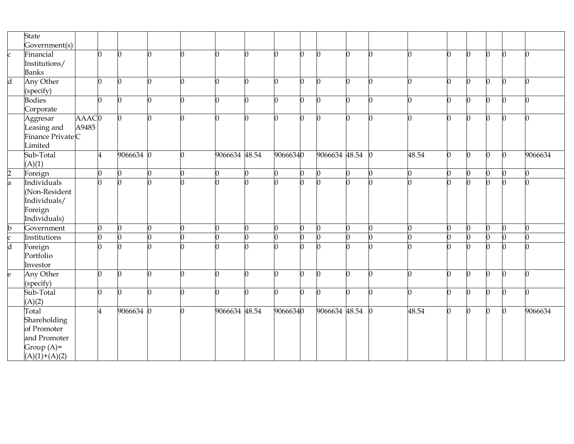|                         | <b>State</b>     |                   |          |                |                |               |                |          |               |              |          |              |                |                |                |         |
|-------------------------|------------------|-------------------|----------|----------------|----------------|---------------|----------------|----------|---------------|--------------|----------|--------------|----------------|----------------|----------------|---------|
|                         | Government(s)    |                   | $\Omega$ |                |                |               |                |          |               |              |          |              |                |                |                |         |
|                         | Financial        |                   |          | n              |                |               | n              |          | n             | n            | n        | U            | O.             | $\mathbf{0}$   | n.             | n       |
|                         | Institutions/    |                   |          |                |                |               |                |          |               |              |          |              |                |                |                |         |
|                         | <b>Banks</b>     |                   |          |                |                |               |                |          |               |              |          |              |                |                |                |         |
| $\overline{\mathrm{d}}$ | Any Other        |                   |          | <sup>0</sup>   | n              |               | <sup>o</sup>   |          | n             | ∩            | n        | <sup>o</sup> | 0              | <sub>0</sub>   | n              | ∩       |
|                         | (specify)        |                   |          |                |                |               |                |          |               |              |          |              |                |                |                |         |
|                         | <b>Bodies</b>    |                   |          | n              | n              |               | 0              |          |               |              | ∩        | O.           | 0              | O.             | U              |         |
|                         | Corporate        |                   |          |                |                |               |                |          |               |              |          |              |                |                |                |         |
|                         | Aggresar         | AAAC <sub>0</sub> |          |                | n              |               | n              |          |               |              |          | n            | 0              | $\overline{0}$ | ሰ              |         |
|                         | Leasing and      | A9485             |          |                |                |               |                |          |               |              |          |              |                |                |                |         |
|                         | Finance PrivateC |                   |          |                |                |               |                |          |               |              |          |              |                |                |                |         |
|                         | Limited          |                   |          |                |                |               |                |          |               |              |          |              |                |                |                |         |
|                         | Sub-Total        |                   | 4        | 9066634 0      |                | 9066634 48.54 |                | 90666340 | 9066634 48.54 |              | 48.54    | n            | $\Omega$       | <sub>0</sub>   | O.             | 9066634 |
|                         | (A)(1)           |                   |          |                |                |               |                |          |               |              |          |              |                |                |                |         |
| $\overline{2}$          | Foreign          |                   |          | $\overline{0}$ | n              | n             | 0              | 0        | n             | <sub>0</sub> | $\Omega$ | 0            | 0              | 0              | U              | n       |
| a                       | Individuals      |                   | $\Omega$ | n              |                |               | n              |          |               |              | n        | n            | n              | 0              | $\overline{0}$ | U       |
|                         | (Non-Resident    |                   |          |                |                |               |                |          |               |              |          |              |                |                |                |         |
|                         | Individuals/     |                   |          |                |                |               |                |          |               |              |          |              |                |                |                |         |
|                         | Foreign          |                   |          |                |                |               |                |          |               |              |          |              |                |                |                |         |
|                         | Individuals)     |                   |          |                |                |               |                |          |               |              |          |              |                |                |                |         |
| $\mathbf b$             | Government       |                   |          | $\overline{0}$ | $\overline{0}$ |               | $\overline{0}$ | U        | n             | b            | n        | n.           | 0              | $\mathbf{0}$   | O.             | n       |
| c                       | Institutions     |                   |          | n              |                |               | 0              |          |               | n            | ሰ        | n            | <sup>0</sup>   | 0              |                | n       |
| $\overline{\mathsf{d}}$ | Foreign          |                   |          |                |                |               | n              |          |               |              |          |              | n.             | n              |                |         |
|                         | Portfolio        |                   |          |                |                |               |                |          |               |              |          |              |                |                |                |         |
|                         | Investor         |                   |          |                |                |               |                |          |               |              |          |              |                |                |                |         |
| e                       | Any Other        |                   | U        | n              | n              | n             | n              |          | In            | ∩            | n        | n            | 0              | 0              | $\cap$         | n       |
|                         | (specify)        |                   |          |                |                |               |                |          |               |              |          |              |                |                |                |         |
|                         | Sub-Total        |                   |          | O              | n              |               | n              |          | n             | n            | n        | U            | 0              | 0              | 0              | n       |
|                         | (A)(2)           |                   |          |                |                |               |                |          |               |              |          |              |                |                |                |         |
|                         | Total            |                   | 4        | 9066634 0      |                | 9066634 48.54 |                | 90666340 | 9066634 48.54 |              | 48.54    | 0            | $\overline{0}$ | 0              | 0              | 9066634 |
|                         | Shareholding     |                   |          |                |                |               |                |          |               |              |          |              |                |                |                |         |
|                         | of Promoter      |                   |          |                |                |               |                |          |               |              |          |              |                |                |                |         |
|                         | and Promoter     |                   |          |                |                |               |                |          |               |              |          |              |                |                |                |         |
|                         | Group $(A)=$     |                   |          |                |                |               |                |          |               |              |          |              |                |                |                |         |
|                         | $(A)(1)+(A)(2)$  |                   |          |                |                |               |                |          |               |              |          |              |                |                |                |         |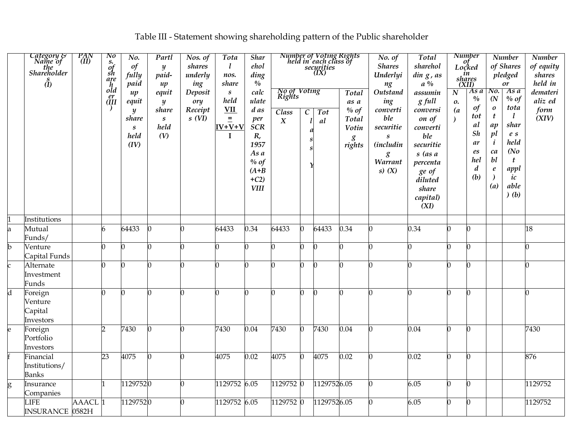Table III - Statement showing shareholding pattern of the Public shareholder

|                         | Category &<br>Name of<br>the<br>Shareholder<br>$\stackrel{s}{(D)}$ | $\frac{PAN}{(II)}$          | $\frac{N\sigma}{s}$<br>of $\frac{\sigma f}{s h}$<br>are<br>h<br>old<br>$\frac{er}{dH}$ | No.<br>of<br>fully<br>paid<br>up<br>equit<br>$\boldsymbol{y}$<br>share<br>$\boldsymbol{s}$<br>held<br>(IV) | Partl<br>$\boldsymbol{y}$<br>paid-<br>up<br>equit<br>$\boldsymbol{y}$<br>share<br>$\boldsymbol{s}$<br>held<br>(V) | Nos. of<br>shares<br>underly<br>ing<br>Deposit<br>ory<br>Receipt<br>$s$ (VI) | Tota<br>$l_{\rm}$<br>nos.<br>share<br>$\boldsymbol{s}$<br>held<br>$\underline{\text{VII}}$<br>$\equiv$<br>$IV+V+V$<br>$\mathbf I$ | <b>Shar</b><br>ehol<br>ding<br>$\frac{0}{0}$<br>calc<br>ulate<br>d as<br>per<br><b>SCR</b><br>R,<br>1957<br>As a<br>$%$ of<br>$(A+B)$<br>$+C2$<br><b>VIII</b> | No of Voting<br>Rights<br>Class<br>$\boldsymbol{X}$ | $\overline{C}$ | Number of Voting Rights<br>held in each class of<br>securities<br>(IX)<br><b>Tot</b><br>al | Total<br>as a<br>$%$ of<br>Total<br>Votin<br>g<br>rights | No. of<br><b>Shares</b><br>Underlyi<br>ng<br>Outstand<br>ing<br>converti<br>ble<br>securitie<br>$\boldsymbol{s}$<br><i>(includin</i><br>g<br><b>Warrant</b><br>s) $(X)$ | Total<br>sharehol<br>din g, as<br>$a\%$<br>assumin<br>$g$ full<br>conversi<br>on of<br>converti<br>ble<br>securitie<br>$s$ (as a<br>percenta<br>ge of<br>diluted<br>share<br>capital)<br>(XI) | $\overline{N}$<br>о.<br>$\overline{a}$<br>$\lambda$ | <b>Number</b><br>of<br>Locked<br>in<br>shares<br>(XII)<br>As a<br>$\frac{0}{0}$<br>of<br>tot<br>al<br>Sh<br>ar<br>es<br>hel<br>$\boldsymbol{d}$<br>(b) | No.<br>$\overline{N}$<br>$\boldsymbol{o}$<br>$\boldsymbol{t}$<br>ap<br>pl<br>$\boldsymbol{i}$<br>ca<br>bl<br>$\pmb{e}$<br>$\lambda$<br>(a) | Number<br>of Shares<br>pledged<br>or<br>As a<br>$%$ of<br>tota<br>l<br>shar<br>e <sub>s</sub><br>held<br>(No)<br>t<br>appl<br>ic<br>able<br>(b) | Number<br>of equity<br>shares<br>held in<br>demateri<br>aliz ed<br>form<br>(XIV) |
|-------------------------|--------------------------------------------------------------------|-----------------------------|----------------------------------------------------------------------------------------|------------------------------------------------------------------------------------------------------------|-------------------------------------------------------------------------------------------------------------------|------------------------------------------------------------------------------|-----------------------------------------------------------------------------------------------------------------------------------|---------------------------------------------------------------------------------------------------------------------------------------------------------------|-----------------------------------------------------|----------------|--------------------------------------------------------------------------------------------|----------------------------------------------------------|-------------------------------------------------------------------------------------------------------------------------------------------------------------------------|-----------------------------------------------------------------------------------------------------------------------------------------------------------------------------------------------|-----------------------------------------------------|--------------------------------------------------------------------------------------------------------------------------------------------------------|--------------------------------------------------------------------------------------------------------------------------------------------|-------------------------------------------------------------------------------------------------------------------------------------------------|----------------------------------------------------------------------------------|
|                         | Institutions                                                       |                             |                                                                                        |                                                                                                            |                                                                                                                   |                                                                              |                                                                                                                                   |                                                                                                                                                               |                                                     |                |                                                                                            |                                                          |                                                                                                                                                                         |                                                                                                                                                                                               |                                                     |                                                                                                                                                        |                                                                                                                                            |                                                                                                                                                 |                                                                                  |
| $\overline{\mathsf{a}}$ | Mutual<br>Funds/                                                   |                             |                                                                                        | 64433                                                                                                      |                                                                                                                   |                                                                              | 64433                                                                                                                             | 0.34                                                                                                                                                          | 64433                                               |                | 64433                                                                                      | 0.34                                                     |                                                                                                                                                                         | 0.34                                                                                                                                                                                          |                                                     | O                                                                                                                                                      |                                                                                                                                            |                                                                                                                                                 | 18                                                                               |
| b                       | Venture<br>Capital Funds                                           |                             |                                                                                        | n                                                                                                          | n                                                                                                                 |                                                                              |                                                                                                                                   |                                                                                                                                                               |                                                     |                |                                                                                            |                                                          |                                                                                                                                                                         |                                                                                                                                                                                               |                                                     | $\Omega$                                                                                                                                               |                                                                                                                                            |                                                                                                                                                 |                                                                                  |
| $\mathsf{c}$            | Alternate<br>Investment<br>Funds                                   |                             |                                                                                        | n                                                                                                          |                                                                                                                   |                                                                              |                                                                                                                                   |                                                                                                                                                               |                                                     |                |                                                                                            |                                                          |                                                                                                                                                                         |                                                                                                                                                                                               |                                                     | <sup>0</sup>                                                                                                                                           |                                                                                                                                            |                                                                                                                                                 |                                                                                  |
| $\overline{\text{d}}$   | Foreign<br>Venture<br>Capital<br>Investors                         |                             |                                                                                        | n                                                                                                          |                                                                                                                   |                                                                              |                                                                                                                                   |                                                                                                                                                               |                                                     |                |                                                                                            |                                                          |                                                                                                                                                                         |                                                                                                                                                                                               |                                                     | <sup>0</sup>                                                                                                                                           |                                                                                                                                            |                                                                                                                                                 |                                                                                  |
| e                       | Foreign<br>Portfolio<br>Investors                                  |                             | $\mathcal{P}$                                                                          | 7430                                                                                                       |                                                                                                                   |                                                                              | 7430                                                                                                                              | 0.04                                                                                                                                                          | 7430                                                |                | 7430                                                                                       | 0.04                                                     |                                                                                                                                                                         | 0.04                                                                                                                                                                                          |                                                     | <sup>0</sup>                                                                                                                                           |                                                                                                                                            |                                                                                                                                                 | 7430                                                                             |
|                         | Financial<br>Institutions/<br><b>Banks</b>                         |                             | 23                                                                                     | 4075                                                                                                       | n                                                                                                                 |                                                                              | 4075                                                                                                                              | 0.02                                                                                                                                                          | 4075                                                |                | 4075                                                                                       | 0.02                                                     |                                                                                                                                                                         | 0.02                                                                                                                                                                                          |                                                     | O.                                                                                                                                                     |                                                                                                                                            |                                                                                                                                                 | 876                                                                              |
| g                       | Insurance<br>Companies                                             |                             | 1                                                                                      | 11297520                                                                                                   |                                                                                                                   |                                                                              | 1129752 6.05                                                                                                                      |                                                                                                                                                               | 1129752                                             |                | 11297526.05                                                                                |                                                          |                                                                                                                                                                         | 6.05                                                                                                                                                                                          |                                                     | O.                                                                                                                                                     |                                                                                                                                            |                                                                                                                                                 | 1129752                                                                          |
|                         | <b>JFE</b><br><b>INSURANCE</b>                                     | AAACL <sub>1</sub><br>0582H |                                                                                        | 11297520                                                                                                   |                                                                                                                   |                                                                              | 1129752 6.05                                                                                                                      |                                                                                                                                                               | 1129752                                             |                | 11297526.05                                                                                |                                                          |                                                                                                                                                                         | 6.05                                                                                                                                                                                          |                                                     | $\Omega$                                                                                                                                               |                                                                                                                                            |                                                                                                                                                 | 1129752                                                                          |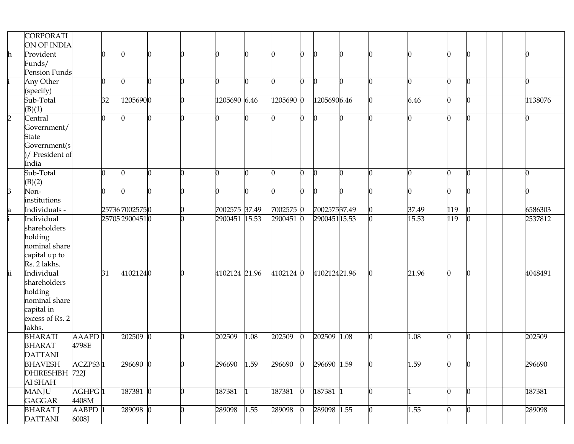|                | CORPORATI                                                                                         |                             |    |                 |  |               |      |           |   |              |  |       |              |          |         |
|----------------|---------------------------------------------------------------------------------------------------|-----------------------------|----|-----------------|--|---------------|------|-----------|---|--------------|--|-------|--------------|----------|---------|
|                | ON OF INDIA                                                                                       |                             |    |                 |  |               |      |           |   |              |  |       |              |          |         |
| h              | Provident<br>Funds/<br>Pension Funds                                                              |                             |    | n               |  |               |      |           | n | n            |  |       | n            |          |         |
|                | Any Other<br>(specify)                                                                            |                             |    | n               |  |               |      |           | U | n            |  |       | n            |          |         |
|                | Sub-Total<br>(B)(1)                                                                               |                             | 32 | 12056900        |  | 1205690 6.46  |      | 1205690 0 |   | 12056906.46  |  | 6.46  | ∩            |          | 1138076 |
| $\overline{2}$ | Central<br>Government/<br><b>State</b><br>Government(s<br>)/ President of<br>India                |                             |    | n               |  |               | n    |           |   |              |  |       | n            | $\Omega$ |         |
|                | Sub-Total<br>(B)(2)                                                                               |                             | n  | n               |  |               | n    |           | U | $\Omega$     |  |       | n            |          |         |
| $\beta$        | Non-<br>institutions                                                                              |                             | n  | n               |  |               |      |           | U | n            |  |       | n            |          | ∩       |
| a              | Individuals -                                                                                     |                             |    | 2573670025750   |  | 7002575 37.49 |      | 7002575 0 |   | 700257537.49 |  | 37.49 | 119          |          | 6586303 |
|                | Individual<br>shareholders<br>holding<br>nominal share<br>capital up to<br>Rs. 2 lakhs.           |                             |    | 25705 2900451 0 |  | 2900451 15.53 |      | 2900451 0 |   | 290045115.53 |  | 15.53 | 119          | $\Omega$ | 2537812 |
| ii             | Individual<br>shareholders<br>holding<br>nominal share<br>capital in<br>excess of Rs. 2<br>lakhs. |                             | 31 | 41021240        |  | 4102124 21.96 |      | 4102124 0 |   | 410212421.96 |  | 21.96 | <sup>0</sup> |          | 4048491 |
|                | <b>BHARATI</b><br><b>BHARAT</b><br><b>DATTANI</b>                                                 | <b>AAAPD1</b><br>4798E      |    | $202509$ 0      |  | 202509        | 1.08 | 202509    |   | 202509 1.08  |  | 1.08  | n            | n        | 202509  |
|                | <b>BHAVESH</b><br>DHIRESHBH 722J<br>AI SHAH                                                       | ACZPS3 <sup>1</sup>         |    | 296690 0        |  | 296690        | 1.59 | 296690    | n | 296690 1.59  |  | 1.59  | n            | $\Omega$ | 296690  |
|                | <b>MANJU</b><br><b>GAGGAR</b>                                                                     | AGHPG <sup>1</sup><br>4408M |    | 187381 0        |  | 187381        |      | 187381    | n | 187381 1     |  |       | n            |          | 187381  |
|                | <b>BHARAT</b> J<br><b>DATTANI</b>                                                                 | AABPD <sub>1</sub><br>6008J |    | $289098$ 0      |  | 289098        | 1.55 | 289098    |   | 289098 1.55  |  | 1.55  | O            |          | 289098  |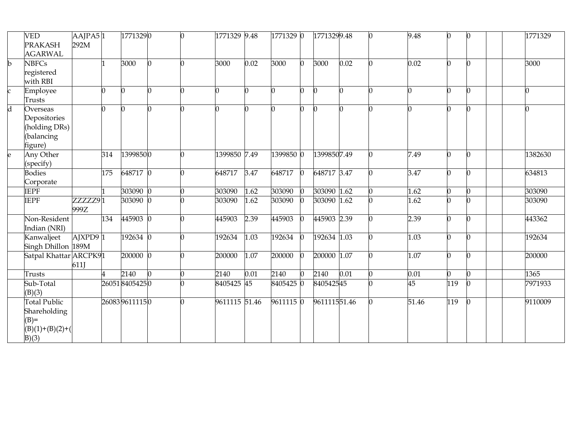|                                                                                                                                               | <b>VED</b>             | AAJPA51 |     | 17713290      | ∩ | 1771329 9.48  |      | 1771329 0 | 17713299.48  |      | 9.48  |     |  |   | 1771329 |
|-----------------------------------------------------------------------------------------------------------------------------------------------|------------------------|---------|-----|---------------|---|---------------|------|-----------|--------------|------|-------|-----|--|---|---------|
|                                                                                                                                               | <b>PRAKASH</b>         | 292M    |     |               |   |               |      |           |              |      |       |     |  |   |         |
|                                                                                                                                               | <b>AGARWAL</b>         |         |     |               |   |               |      |           |              |      |       |     |  |   |         |
| b                                                                                                                                             | <b>NBFCs</b>           |         |     | 3000          |   | 3000          | 0.02 | 3000      | 3000         | 0.02 | 0.02  |     |  |   | 3000    |
|                                                                                                                                               | registered             |         |     |               |   |               |      |           |              |      |       |     |  |   |         |
|                                                                                                                                               | with RBI               |         |     |               |   |               |      |           |              |      |       |     |  |   |         |
| $\mathsf{c}% _{t}\!\left( \mathcal{H}\right) \equiv\mathsf{c}_{t}\!\left( \mathcal{H}\right) \equiv\mathsf{c}_{t}\!\left( \mathcal{H}\right)$ | Employee               |         | n   |               |   |               | U    |           | $\mathbf{0}$ |      |       |     |  | U |         |
|                                                                                                                                               | Trusts                 |         |     |               |   |               |      |           |              |      |       |     |  |   |         |
| $\overline{\text{d}}$                                                                                                                         | Overseas               |         | n   |               |   |               |      |           | $\Omega$     |      |       |     |  |   |         |
|                                                                                                                                               | Depositories           |         |     |               |   |               |      |           |              |      |       |     |  |   |         |
|                                                                                                                                               | (holding DRs)          |         |     |               |   |               |      |           |              |      |       |     |  |   |         |
|                                                                                                                                               | (balancing             |         |     |               |   |               |      |           |              |      |       |     |  |   |         |
|                                                                                                                                               | figure)                |         |     |               |   |               |      |           |              |      |       |     |  |   |         |
| $\mathbf{e}$                                                                                                                                  | Any Other              |         | 314 | 13998500      |   | 1399850 7.49  |      | 1399850 0 | 13998507.49  |      | 7.49  |     |  |   | 1382630 |
|                                                                                                                                               | (specify)              |         |     |               |   |               |      |           |              |      |       |     |  |   |         |
|                                                                                                                                               | <b>Bodies</b>          |         | 175 | 648717 0      |   | 648717        | 3.47 | 648717    | 648717 3.47  |      | 3.47  |     |  |   | 634813  |
|                                                                                                                                               | Corporate              |         |     |               |   |               |      |           |              |      |       |     |  |   |         |
|                                                                                                                                               | <b>IEPF</b>            |         |     | 303090        |   | 303090        | 1.62 | 303090    | 303090 1.62  |      | 1.62  |     |  |   | 303090  |
|                                                                                                                                               | <b>IEPF</b>            | ZZZZZ91 |     | 303090        |   | 303090        | 1.62 | 303090    | 303090 1.62  |      | 1.62  |     |  |   | 303090  |
|                                                                                                                                               |                        | 999Z    |     |               |   |               |      |           |              |      |       |     |  |   |         |
|                                                                                                                                               | Non-Resident           |         | 134 | 445903        |   | 445903        | 2.39 | 445903    | 445903 2.39  |      | 2.39  |     |  |   | 443362  |
|                                                                                                                                               | Indian (NRI)           |         |     |               |   |               |      |           |              |      |       |     |  |   |         |
|                                                                                                                                               | Kanwaljeet             | AJXPD91 |     | 192634        |   | 192634        | 1.03 | 192634    | 192634 1.03  |      | 1.03  |     |  |   | 192634  |
|                                                                                                                                               | Singh Dhillon 189M     |         |     |               |   |               |      |           |              |      |       |     |  |   |         |
|                                                                                                                                               | Satpal Khattar ARCPK91 |         |     | 200000        |   | 200000        | 1.07 | 200000    | 200000 1.07  |      | 1.07  |     |  |   | 200000  |
|                                                                                                                                               |                        | 611J    |     |               |   |               |      |           |              |      |       |     |  |   |         |
|                                                                                                                                               | Trusts                 |         |     | 2140          |   | 2140          | 0.01 | 2140      | 2140         | 0.01 | 0.01  |     |  |   | 1365    |
|                                                                                                                                               | Sub-Total              |         |     | 2605184054250 |   | 8405425 45    |      | 8405425 0 | 840542545    |      | 45    | 119 |  |   | 7971933 |
|                                                                                                                                               | (B)(3)                 |         |     |               |   |               |      |           |              |      |       |     |  |   |         |
|                                                                                                                                               | <b>Total Public</b>    |         |     | 2608396111150 |   | 9611115 51.46 |      | 9611115 0 | 961111551.46 |      | 51.46 | 119 |  |   | 9110009 |
|                                                                                                                                               | Shareholding           |         |     |               |   |               |      |           |              |      |       |     |  |   |         |
|                                                                                                                                               | $(B)=$                 |         |     |               |   |               |      |           |              |      |       |     |  |   |         |
|                                                                                                                                               | $(B)(1)+(B)(2)+($      |         |     |               |   |               |      |           |              |      |       |     |  |   |         |
|                                                                                                                                               | B(3)                   |         |     |               |   |               |      |           |              |      |       |     |  |   |         |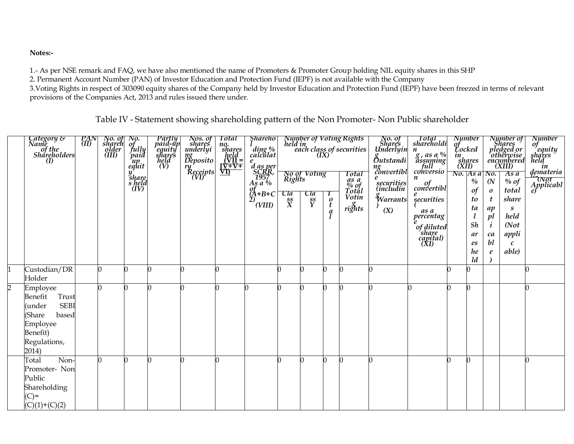## Notes:-

1.- As per NSE remark and FAQ, we have also mentioned the name of Promoters & Promoter Group holding NIL equity shares in this SHP

2. Permanent Account Number (PAN) of Investor Education and Protection Fund (IEPF) is not available with the Company

3.Voting Rights in respect of 303090 equity shares of the Company held by Investor Education and Protection Fund (IEPF) have been freezed in terms of relevant provisions of the Companies Act, 2013 and rules issued there under.

Table IV - Statement showing shareholding pattern of the Non Promoter- Non Public shareholder

| Category &<br>Name<br>e<br>of the<br>Shareholders<br>(I)                                                                  | $\frac{\text{PAN}}{\text{(II)}}$ | No. of<br>shareh<br>older<br>(III) | No.<br>of<br>fully<br>paid<br>up<br>equit<br>share<br>s held<br>(IV) | Partly<br>paid-up<br>equity<br>shares<br>held<br>(V) | Nos. of<br>shares<br>underlyi<br>ng<br>Deposito<br>$\begin{bmatrix} ry \\ Receipts \\ (VI) \end{bmatrix}$ | Total<br>no.<br>shares<br>held<br><u>NTV</u><br><u>VI</u> | <b><i><u>Shareho</u></i></b><br>ding %<br>calculat<br>d as per<br>SCRR,<br>1957<br>As a %<br>$of (A+B+C)$<br>(VIII) | Cla<br>$\overset{ss}{X}$ | No of Voting<br>Rights<br>Cla<br>ss<br>Y | $\frac{1}{\rho}$<br>t<br>$\boldsymbol{q}$ | Number of Voting Rights<br>held in<br>each class of securities<br>(IX)<br>Total<br>as a<br>% of<br>Total<br>Votin<br>rights | No. of<br>Shares<br>Underlyin<br><i><u><b>Outstandi</b></u></i><br>ng<br>convertibl<br>e<br>securities<br>(includin<br><i>Marrants</i><br>(X) | $\begin{array}{c}\n\overline{\text{Total}}\\ \text{shared} \\ \text{n}\end{array}$<br>g , as a %<br>assuming<br>full<br>$\binom{1}{n}$<br>$\int_{\text{convertibl}}^{\infty}$<br>securities<br>as a<br>percentag<br>e<br>of diluted<br>share<br>capital)<br>(XI) | <b>Locked</b> | Number<br>of<br><i>in</i><br>shares<br>(XII)<br><b>No.</b> As a No.<br>$\mathcal{Y}_0$<br>of<br>to<br>ta<br>l<br>Sh<br>ar<br>es<br>he<br>ld | $\overline{N}$<br>0<br>t<br>ap<br>$p$ l<br>$\boldsymbol{i}$<br>ca<br>bl<br>e | Number of<br>Shares<br>pledged or<br>otherwise<br>encumbered<br>(XIII)<br>As a<br>$%$ of<br>total<br>share<br>s<br>held<br>(Not)<br>appli<br>$\mathcal C$<br>able) | Number<br>of<br>equity<br>shares<br>held<br>in<br>in<br>demateria<br>Kot<br>Applicabl |
|---------------------------------------------------------------------------------------------------------------------------|----------------------------------|------------------------------------|----------------------------------------------------------------------|------------------------------------------------------|-----------------------------------------------------------------------------------------------------------|-----------------------------------------------------------|---------------------------------------------------------------------------------------------------------------------|--------------------------|------------------------------------------|-------------------------------------------|-----------------------------------------------------------------------------------------------------------------------------|-----------------------------------------------------------------------------------------------------------------------------------------------|------------------------------------------------------------------------------------------------------------------------------------------------------------------------------------------------------------------------------------------------------------------|---------------|---------------------------------------------------------------------------------------------------------------------------------------------|------------------------------------------------------------------------------|--------------------------------------------------------------------------------------------------------------------------------------------------------------------|---------------------------------------------------------------------------------------|
| Custodian/DR<br>Holder                                                                                                    |                                  |                                    |                                                                      |                                                      |                                                                                                           |                                                           |                                                                                                                     |                          |                                          |                                           |                                                                                                                             |                                                                                                                                               |                                                                                                                                                                                                                                                                  |               |                                                                                                                                             |                                                                              |                                                                                                                                                                    |                                                                                       |
| Employee<br>Benefit<br>Trust<br><b>SEBI</b><br>under)<br>based<br>(Share<br>Employee<br>Benefit)<br>Regulations,<br>2014) |                                  |                                    |                                                                      |                                                      |                                                                                                           |                                                           |                                                                                                                     |                          |                                          | $\Omega$                                  |                                                                                                                             |                                                                                                                                               |                                                                                                                                                                                                                                                                  |               |                                                                                                                                             |                                                                              |                                                                                                                                                                    |                                                                                       |
| Non-<br>Total<br>Promoter-Non<br>Public<br>Shareholding<br>$(C)=$<br>$(C)(1)+(C)(2)$                                      |                                  |                                    |                                                                      |                                                      |                                                                                                           |                                                           |                                                                                                                     |                          |                                          |                                           |                                                                                                                             |                                                                                                                                               |                                                                                                                                                                                                                                                                  |               |                                                                                                                                             |                                                                              |                                                                                                                                                                    |                                                                                       |